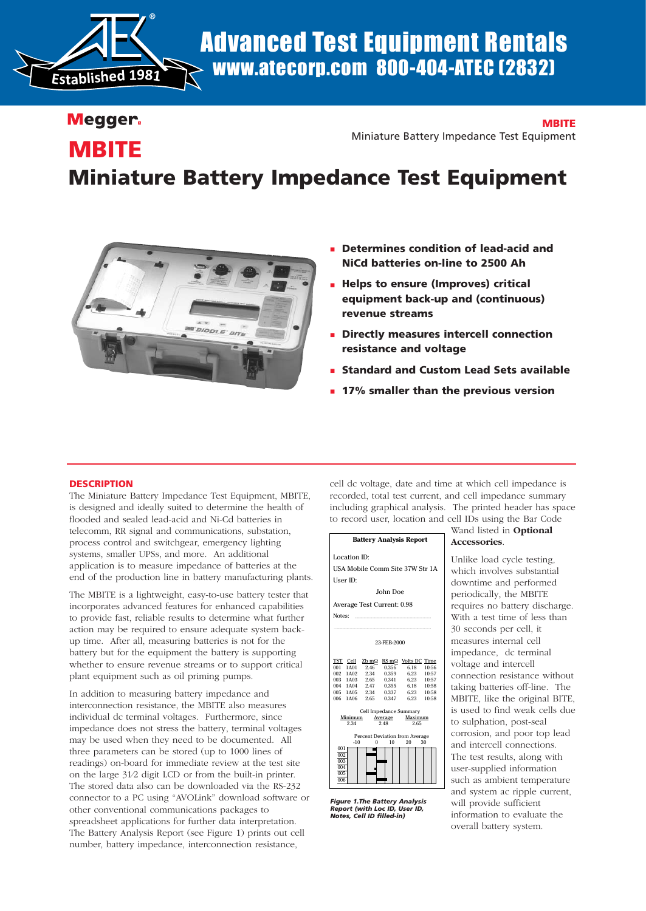

# Advanced Test Equipment Rentals www.atecorp.com 800-404-ATEC (2832)

## Megger.

## **MBITE**

Miniature Battery Impedance Test Equipment

## **MBITE**

# **Miniature Battery Impedance Test Equipment**



- **Determines condition of lead-acid and NiCd batteries on-line to 2500 Ah**
- **Helps to ensure (Improves) critical equipment back-up and (continuous) revenue streams**
- **Directly measures intercell connection resistance and voltage**
- **Standard and Custom Lead Sets available**
- **17% smaller than the previous version**

## **DESCRIPTION**

The Miniature Battery Impedance Test Equipment, MBITE, is designed and ideally suited to determine the health of flooded and sealed lead-acid and Ni-Cd batteries in telecomm, RR signal and communications, substation, process control and switchgear, emergency lighting systems, smaller UPSs, and more. An additional application is to measure impedance of batteries at the end of the production line in battery manufacturing plants.

The MBITE is a lightweight, easy-to-use battery tester that incorporates advanced features for enhanced capabilities to provide fast, reliable results to determine what further action may be required to ensure adequate system backup time. After all, measuring batteries is not for the battery but for the equipment the battery is supporting whether to ensure revenue streams or to support critical plant equipment such as oil priming pumps.

In addition to measuring battery impedance and interconnection resistance, the MBITE also measures individual dc terminal voltages. Furthermore, since impedance does not stress the battery, terminal voltages may be used when they need to be documented. All three parameters can be stored (up to 1000 lines of readings) on-board for immediate review at the test site on the large 31⁄2 digit LCD or from the built-in printer. The stored data also can be downloaded via the RS-232 connector to a PC using "AVOLink" download software or other conventional communications packages to spreadsheet applications for further data interpretation. The Battery Analysis Report (see Figure 1) prints out cell number, battery impedance, interconnection resistance,

cell dc voltage, date and time at which cell impedance is recorded, total test current, and cell impedance summary including graphical analysis. The printed header has space to record user, location and cell IDs using the Bar Code



*Figure 1.The Battery Analysis Report (with Loc ID, User ID, Notes, Cell ID filled-in)*

## Wand listed in **Optional Accessories**.

Unlike load cycle testing, which involves substantial downtime and performed periodically, the MBITE requires no battery discharge. With a test time of less than 30 seconds per cell, it measures internal cell impedance, dc terminal voltage and intercell connection resistance without taking batteries off-line. The MBITE, like the original BITE, is used to find weak cells due to sulphation, post-seal corrosion, and poor top lead and intercell connections. The test results, along with user-supplied information such as ambient temperature and system ac ripple current, will provide sufficient information to evaluate the overall battery system.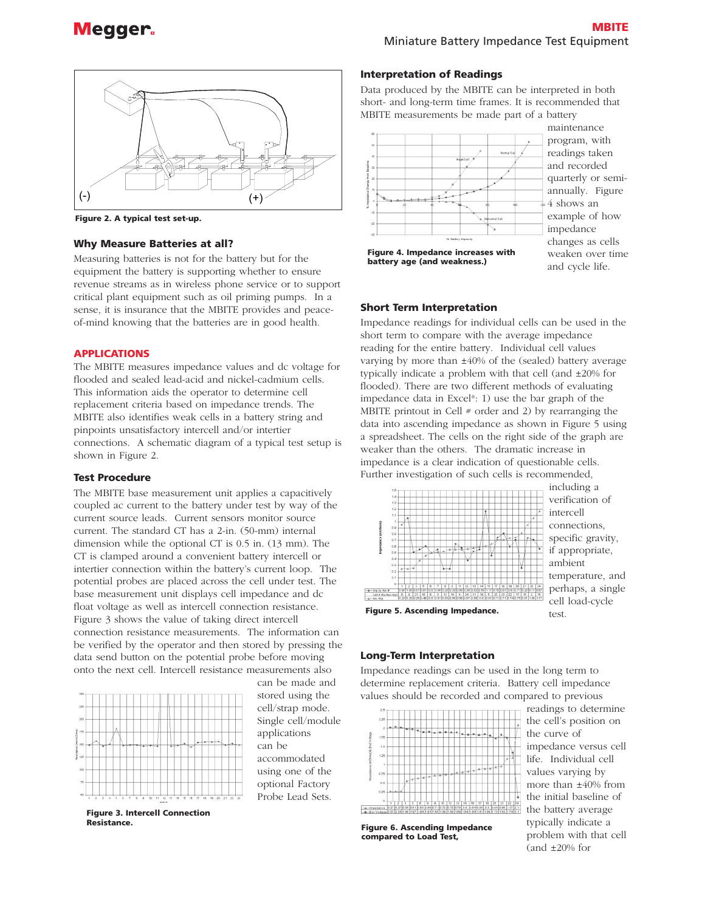

**Figure 2. A typical test set-up.**

### **Why Measure Batteries at all?**

Measuring batteries is not for the battery but for the equipment the battery is supporting whether to ensure revenue streams as in wireless phone service or to support critical plant equipment such as oil priming pumps. In a sense, it is insurance that the MBITE provides and peaceof-mind knowing that the batteries are in good health.

## **APPLICATIONS**

The MBITE measures impedance values and dc voltage for flooded and sealed lead-acid and nickel-cadmium cells. This information aids the operator to determine cell replacement criteria based on impedance trends. The MBITE also identifies weak cells in a battery string and pinpoints unsatisfactory intercell and/or intertier connections. A schematic diagram of a typical test setup is shown in Figure 2.

## **Test Procedure**

The MBITE base measurement unit applies a capacitively coupled ac current to the battery under test by way of the current source leads. Current sensors monitor source current. The standard CT has a 2-in. (50-mm) internal dimension while the optional CT is 0.5 in. (13 mm). The CT is clamped around a convenient battery intercell or intertier connection within the battery's current loop. The potential probes are placed across the cell under test. The base measurement unit displays cell impedance and dc float voltage as well as intercell connection resistance. Figure 3 shows the value of taking direct intercell connection resistance measurements. The information can be verified by the operator and then stored by pressing the data send button on the potential probe before moving onto the next cell. Intercell resistance measurements also



can be made and stored using the cell/strap mode. Single cell/module applications can be accommodated using one of the optional Factory Probe Lead Sets.

**Figure 3. Intercell Connection Resistance.**

Data produced by the MBITE can be interpreted in both short- and long-term time frames. It is recommended that MBITE measurements be made part of a battery

**Interpretation of Readings**



maintenance program, with readings taken and recorded quarterly or semiannually. Figure 4 shows an example of how impedance changes as cells weaken over time and cycle life.

**Figure 4. Impedance increases with battery age (and weakness.)** 

#### **Short Term Interpretation**

Impedance readings for individual cells can be used in the short term to compare with the average impedance reading for the entire battery. Individual cell values varying by more than ±40% of the (sealed) battery average typically indicate a problem with that cell (and ±20% for flooded). There are two different methods of evaluating impedance data in Excel®: 1) use the bar graph of the MBITE printout in Cell  $#$  order and 2) by rearranging the data into ascending impedance as shown in Figure 5 using a spreadsheet. The cells on the right side of the graph are weaker than the others. The dramatic increase in impedance is a clear indication of questionable cells. Further investigation of such cells is recommended,



including a verification of intercell connections, specific gravity, if appropriate, ambient temperature, and perhaps, a single cell load-cycle test.

## **Figure 5. Ascending Impedance.**

#### **Long-Term Interpretation**

Impedance readings can be used in the long term to determine replacement criteria. Battery cell impedance values should be recorded and compared to previous



**Figure 6. Ascending Impedance compared to Load Test,**

readings to determine the cell's position on the curve of impedance versus cell life. Individual cell values varying by more than ±40% from the initial baseline of the battery average typically indicate a problem with that cell (and  $\pm 20\%$  for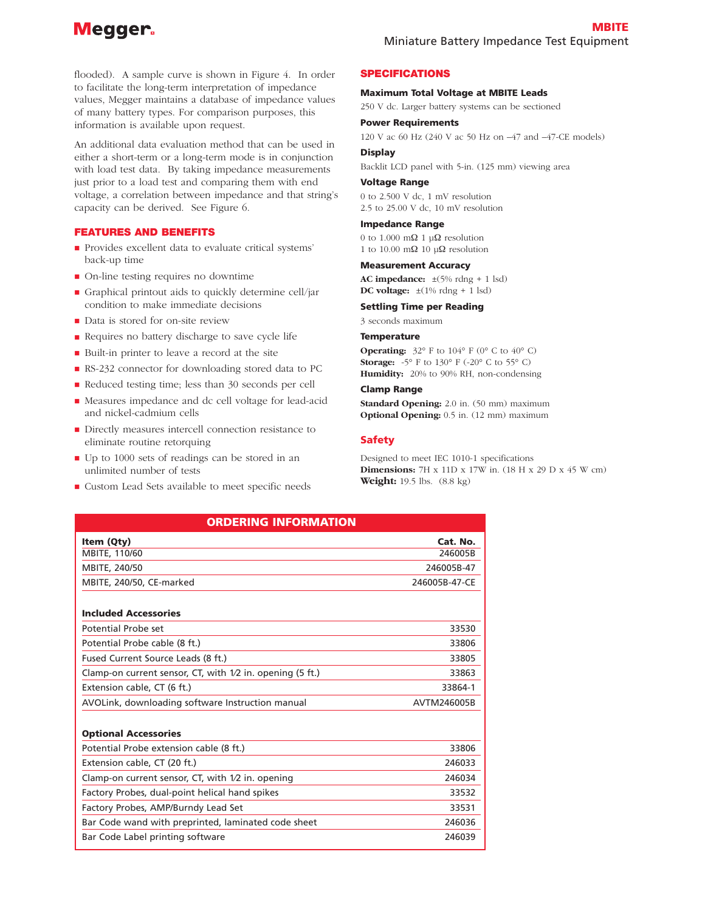## Megger.

flooded). A sample curve is shown in Figure 4. In order to facilitate the long-term interpretation of impedance values, Megger maintains a database of impedance values of many battery types. For comparison purposes, this information is available upon request.

An additional data evaluation method that can be used in either a short-term or a long-term mode is in conjunction with load test data. By taking impedance measurements just prior to a load test and comparing them with end voltage, a correlation between impedance and that string's capacity can be derived. See Figure 6.

## **FEATURES AND BENEFITS**

- Provides excellent data to evaluate critical systems' back-up time
- On-line testing requires no downtime
- Graphical printout aids to quickly determine cell/jar condition to make immediate decisions
- Data is stored for on-site review
- Requires no battery discharge to save cycle life
- Built-in printer to leave a record at the site
- RS-232 connector for downloading stored data to PC
- Reduced testing time; less than 30 seconds per cell
- Measures impedance and dc cell voltage for lead-acid and nickel-cadmium cells
- Directly measures intercell connection resistance to eliminate routine retorquing
- Up to 1000 sets of readings can be stored in an unlimited number of tests
- Custom Lead Sets available to meet specific needs

## **SPECIFICATIONS**

#### **Maximum Total Voltage at MBITE Leads**

250 V dc. Larger battery systems can be sectioned

#### **Power Requirements**

120 V ac 60 Hz (240 V ac 50 Hz on –47 and –47-CE models)

## **Display**

Backlit LCD panel with 5-in. (125 mm) viewing area

#### **Voltage Range**

0 to 2.500 V dc, 1 mV resolution 2.5 to 25.00 V dc, 10 mV resolution

#### **Impedance Range**

0 to 1.000 m $\Omega$  1 u $\Omega$  resolution 1 to 10.00 mΩ 10 μΩ resolution

#### **Measurement Accuracy**

**AC impedance:**  $\pm(5\% \text{ rdng} + 1 \text{ lsd})$ **DC voltage:** ±(1% rdng + 1 lsd)

#### **Settling Time per Reading**

3 seconds maximum

#### **Temperature**

**Operating:**  $32^{\circ}$  F to  $104^{\circ}$  F (0° C to  $40^{\circ}$  C) **Storage:** -5° F to 130° F (-20° C to 55° C) **Humidity:** 20% to 90% RH, non-condensing

#### **Clamp Range**

**Standard Opening:** 2.0 in. (50 mm) maximum **Optional Opening:** 0.5 in. (12 mm) maximum

## **Safety**

Designed to meet IEC 1010-1 specifications **Dimensions:** 7H x 11D x 17W in. (18 H x 29 D x 45 W cm) **Weight:** 19.5 lbs. (8.8 kg)

| <b>ORDERING INFORMATION</b>                               |               |
|-----------------------------------------------------------|---------------|
| Item (Qty)                                                | Cat. No.      |
| MBITE, 110/60                                             | 246005B       |
| MBITE, 240/50                                             | 246005B-47    |
| MBITE, 240/50, CE-marked                                  | 246005B-47-CE |
| <b>Included Accessories</b>                               |               |
| Potential Probe set                                       | 33530         |
| Potential Probe cable (8 ft.)                             | 33806         |
| Fused Current Source Leads (8 ft.)                        | 33805         |
| Clamp-on current sensor, CT, with 1/2 in. opening (5 ft.) | 33863         |
| Extension cable, CT (6 ft.)                               | 33864-1       |
| AVOLink, downloading software Instruction manual          | AVTM246005B   |
| <b>Optional Accessories</b>                               |               |
| Potential Probe extension cable (8 ft.)                   | 33806         |
| Extension cable, CT (20 ft.)                              | 246033        |
| Clamp-on current sensor, CT, with 1/2 in. opening         | 246034        |
| Factory Probes, dual-point helical hand spikes            | 33532         |
| Factory Probes, AMP/Burndy Lead Set                       | 33531         |
| Bar Code wand with preprinted, laminated code sheet       | 246036        |
| Bar Code Label printing software                          | 246039        |